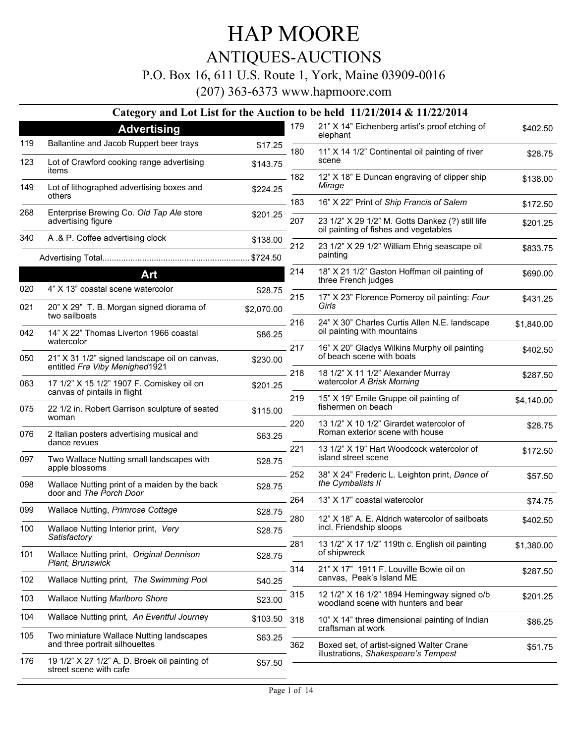#### ANTIQUES-AUCTIONS

P.O. Box 16, 611 U.S. Route 1, York, Maine 03909-0016

|     |                                                                             |            |     | Category and Lot List for the Auction to be held 11/21/2014 & 11/22/2014                  |            |
|-----|-----------------------------------------------------------------------------|------------|-----|-------------------------------------------------------------------------------------------|------------|
|     | <b>Advertising</b>                                                          |            | 179 | 21" X 14" Eichenberg artist's proof etching of<br>elephant                                | \$402.50   |
| 119 | Ballantine and Jacob Ruppert beer trays                                     | \$17.25    | 180 | 11" X 14 1/2" Continental oil painting of river                                           |            |
| 123 | Lot of Crawford cooking range advertising<br>items                          | \$143.75   |     | scene                                                                                     | \$28.75    |
| 149 | Lot of lithographed advertising boxes and                                   | \$224.25   | 182 | 12" X 18" E Duncan engraving of clipper ship<br>Mirage                                    | \$138.00   |
|     | others                                                                      |            | 183 | 16" X 22" Print of Ship Francis of Salem                                                  | \$172.50   |
| 268 | Enterprise Brewing Co. Old Tap Ale store<br>advertising figure              | \$201.25   | 207 | 23 1/2" X 29 1/2" M. Gotts Dankez (?) still life<br>oil painting of fishes and vegetables | \$201.25   |
| 340 | A .& P. Coffee advertising clock                                            | \$138.00   | 212 | 23 1/2" X 29 1/2" William Ehrig seascape oil                                              | \$833.75   |
|     |                                                                             |            |     | painting                                                                                  |            |
|     | Art                                                                         |            | 214 | 18" X 21 1/2" Gaston Hoffman oil painting of<br>three French judges                       | \$690.00   |
| 020 | 4" X 13" coastal scene watercolor                                           | \$28.75    | 215 | 17" X 23" Florence Pomeroy oil painting: Four                                             |            |
| 021 | 20" X 29" T. B. Morgan signed diorama of<br>two sailboats                   | \$2,070.00 |     | Girls                                                                                     | \$431.25   |
| 042 | 14" X 22" Thomas Liverton 1966 coastal                                      | \$86.25    | 216 | 24" X 30" Charles Curtis Allen N.E. landscape<br>oil painting with mountains              | \$1,840.00 |
| 050 | watercolor<br>21" X 31 1/2" signed landscape oil on canvas,                 | \$230.00   | 217 | 16" X 20" Gladys Wilkins Murphy oil painting<br>of beach scene with boats                 | \$402.50   |
| 063 | entitled Fra Viby Menighed1921<br>17 1/2" X 15 1/2" 1907 F. Comiskey oil on |            | 218 | 18 1/2" X 11 1/2" Alexander Murray<br>watercolor A Brisk Morning                          | \$287.50   |
|     | canvas of pintails in flight                                                | \$201.25   | 219 | 15" X 19" Emile Gruppe oil painting of                                                    | \$4,140.00 |
| 075 | 22 1/2 in. Robert Garrison sculpture of seated<br>woman                     | \$115.00   |     | fishermen on beach                                                                        |            |
| 076 | 2 Italian posters advertising musical and<br>dance revues                   | \$63.25    | 220 | 13 1/2" X 10 1/2" Girardet watercolor of<br>Roman exterior scene with house               | \$28.75    |
| 097 | Two Wallace Nutting small landscapes with                                   | \$28.75    | 221 | 13 1/2" X 19" Hart Woodcock watercolor of<br>island street scene                          | \$172.50   |
| 098 | apple blossoms<br>Wallace Nutting print of a maiden by the back             |            | 252 | 38" X 24" Frederic L. Leighton print, Dance of<br>the Cymbalists II                       | \$57.50    |
|     | door and The Porch Door                                                     | \$28.75    | 264 | 13" X 17" coastal watercolor                                                              |            |
| 099 | Wallace Nutting, Primrose Cottage                                           | \$28.75    |     |                                                                                           | \$74.75    |
| 100 | Wallace Nutting Interior print, Very<br>Satisfactory                        | \$28.75    | 280 | 12" X 18" A. E. Aldrich watercolor of sailboats<br>incl. Friendship sloops                | \$402.50   |
| 101 | Wallace Nutting print, Original Dennison                                    | \$28.75    | 281 | 13 1/2" X 17 1/2" 119th c. English oil painting<br>of shipwreck                           | \$1,380.00 |
|     | Plant, Brunswick                                                            |            | 314 | 21" X 17" 1911 F. Louville Bowie oil on                                                   | \$287.50   |
| 102 | Wallace Nutting print, The Swimming Pool                                    | \$40.25    |     | canvas, Peak's Island ME                                                                  |            |
| 103 | <b>Wallace Nutting Marlboro Shore</b>                                       | \$23.00    | 315 | 12 1/2" X 16 1/2" 1894 Hemingway signed o/b<br>woodland scene with hunters and bear       | \$201.25   |
| 104 | Wallace Nutting print, An Eventful Journey                                  | \$103.50   | 318 | 10" X 14" three dimensional painting of Indian                                            | \$86.25    |
| 105 | Two miniature Wallace Nutting landscapes<br>and three portrait silhouettes  | \$63.25    | 362 | craftsman at work<br>Boxed set, of artist-signed Walter Crane                             | \$51.75    |
| 176 | 19 1/2" X 27 1/2" A. D. Broek oil painting of<br>street scene with cafe     | \$57.50    |     | illustrations, Shakespeare's Tempest                                                      |            |
|     |                                                                             |            |     |                                                                                           |            |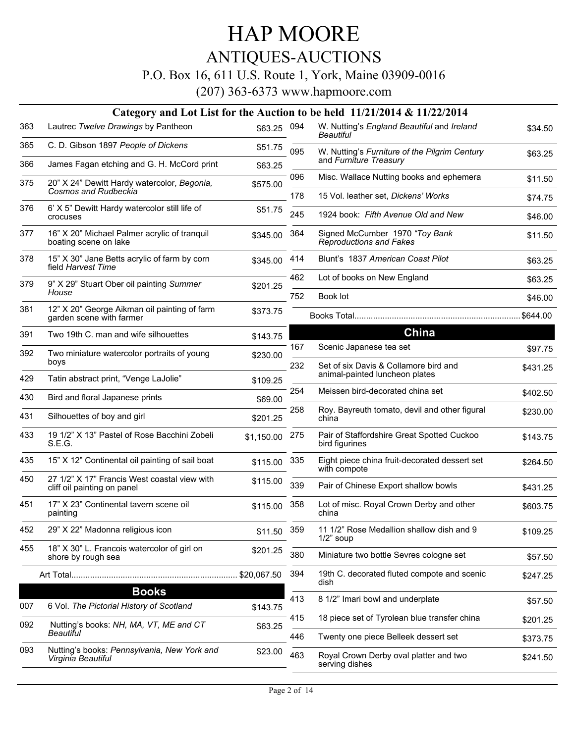### ANTIQUES-AUCTIONS

P.O. Box 16, 611 U.S. Route 1, York, Maine 03909-0016

|     |                                                                             |             |     | Category and Lot List for the Auction to be held 11/21/2014 & 11/22/2014 |          |
|-----|-----------------------------------------------------------------------------|-------------|-----|--------------------------------------------------------------------------|----------|
| 363 | Lautrec Twelve Drawings by Pantheon                                         | \$63.25 094 |     | W. Nutting's England Beautiful and Ireland<br>Beautiful                  | \$34.50  |
| 365 | C. D. Gibson 1897 People of Dickens                                         | \$51.75     | 095 | W. Nutting's Furniture of the Pilgrim Century<br>and Furniture Treasury  | \$63.25  |
| 366 | James Fagan etching and G. H. McCord print                                  | \$63.25     |     |                                                                          |          |
| 375 | 20" X 24" Dewitt Hardy watercolor, Begonia,<br><b>Cosmos and Rudbeckia</b>  | \$575.00    | 096 | Misc. Wallace Nutting books and ephemera                                 | \$11.50  |
| 376 | 6' X 5" Dewitt Hardy watercolor still life of                               |             | 178 | 15 Vol. leather set, Dickens' Works                                      | \$74.75  |
|     | crocuses                                                                    | \$51.75     | 245 | 1924 book: Fifth Avenue Old and New                                      | \$46.00  |
| 377 | 16" X 20" Michael Palmer acrylic of tranquil<br>boating scene on lake       | \$345.00    | 364 | Signed McCumber 1970 "Toy Bank<br><b>Reproductions and Fakes</b>         | \$11.50  |
| 378 | 15" X 30" Jane Betts acrylic of farm by corn<br>field Harvest Time          | \$345.00    | 414 | Blunt's 1837 American Coast Pilot                                        | \$63.25  |
| 379 | 9" X 29" Stuart Ober oil painting Summer                                    | \$201.25    | 462 | Lot of books on New England                                              | \$63.25  |
|     | House                                                                       |             | 752 | Book lot                                                                 | \$46.00  |
| 381 | 12" X 20" George Aikman oil painting of farm<br>garden scene with farmer    | \$373.75    |     |                                                                          | \$644.00 |
| 391 | Two 19th C, man and wife silhouettes                                        | \$143.75    |     | <b>China</b>                                                             |          |
| 392 | Two miniature watercolor portraits of young                                 | \$230.00    | 167 | Scenic Japanese tea set                                                  | \$97.75  |
| 429 | boys<br>Tatin abstract print, "Venge LaJolie"                               |             | 232 | Set of six Davis & Collamore bird and<br>animal-painted luncheon plates  | \$431.25 |
|     |                                                                             | \$109.25    | 254 | Meissen bird-decorated china set                                         | \$402.50 |
| 430 | Bird and floral Japanese prints                                             | \$69.00     | 258 | Roy. Bayreuth tomato, devil and other figural                            |          |
| 431 | Silhouettes of boy and girl                                                 | \$201.25    |     | china                                                                    | \$230.00 |
| 433 | 19 1/2" X 13" Pastel of Rose Bacchini Zobeli<br>S.E.G.                      | \$1,150.00  | 275 | Pair of Staffordshire Great Spotted Cuckoo<br>bird figurines             | \$143.75 |
| 435 | 15" X 12" Continental oil painting of sail boat                             | \$115.00    | 335 | Eight piece china fruit-decorated dessert set<br>with compote            | \$264.50 |
| 450 | 27 1/2" X 17" Francis West coastal view with<br>cliff oil painting on panel | \$115.00    | 339 | Pair of Chinese Export shallow bowls                                     | \$431.25 |
| 451 | 17" X 23" Continental tavern scene oil<br>painting                          | \$115.00    | 358 | Lot of misc. Royal Crown Derby and other<br>china                        | \$603.75 |
| 452 | 29" X 22" Madonna religious icon                                            | \$11.50     | 359 | 11 1/2" Rose Medallion shallow dish and 9<br>$1/2$ " soup                | \$109.25 |
| 455 | 18" X 30" L. Francois watercolor of girl on<br>shore by rough sea           | \$201.25    | 380 | Miniature two bottle Sevres cologne set                                  | \$57.50  |
|     |                                                                             | \$20,067.50 | 394 | 19th C. decorated fluted compote and scenic<br>dish                      | \$247.25 |
|     | <b>Books</b>                                                                |             | 413 | 8 1/2" Imari bowl and underplate                                         |          |
| 007 | 6 Vol. The Pictorial History of Scotland                                    | \$143.75    |     |                                                                          | \$57.50  |
| 092 | Nutting's books: NH, MA, VT, ME and CT                                      | \$63.25     | 415 | 18 piece set of Tyrolean blue transfer china                             | \$201.25 |
|     | Beautiful                                                                   |             | 446 | Twenty one piece Belleek dessert set                                     | \$373.75 |
| 093 | Nutting's books: Pennsylvania, New York and<br>Virginia Beautiful           | \$23.00     | 463 | Royal Crown Derby oval platter and two<br>serving dishes                 | \$241.50 |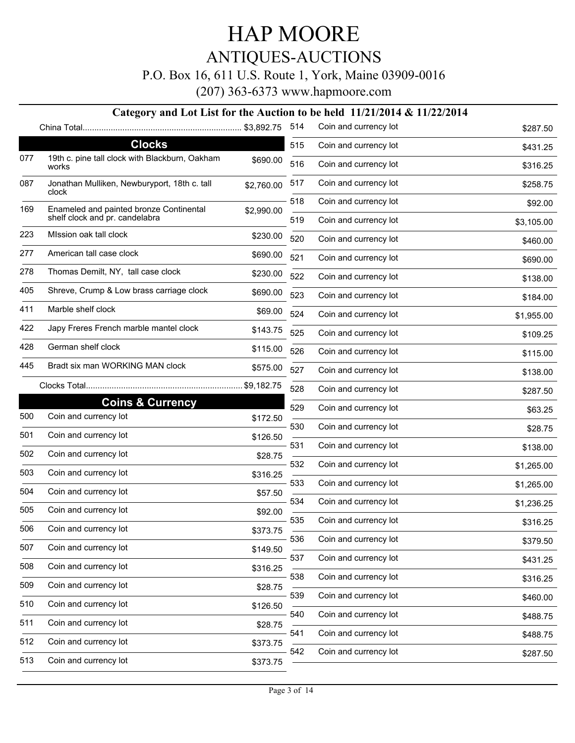ANTIQUES-AUCTIONS

P.O. Box 16, 611 U.S. Route 1, York, Maine 03909-0016

(207) 363-6373 www.hapmoore.com

#### **Category and Lot List for the Auction to be held 11/21/2014 & 11/22/2014**

| <b>Clocks</b><br>515<br>Coin and currency lot<br>19th c. pine tall clock with Blackburn, Oakham<br>077<br>\$690.00<br>516<br>Coin and currency lot<br>works<br>Coin and currency lot<br>517<br>087<br>Jonathan Mulliken, Newburyport, 18th c. tall<br>\$2,760.00<br>clock<br>518<br>Coin and currency lot<br>Enameled and painted bronze Continental<br>169<br>\$2,990.00<br>shelf clock and pr. candelabra<br>519<br>Coin and currency lot<br>MIssion oak tall clock<br>223<br>\$230.00<br>520<br>Coin and currency lot<br>277<br>American tall case clock<br>\$690.00<br>521<br>Coin and currency lot<br>278<br>Thomas Demilt, NY, tall case clock<br>\$230.00<br>522<br>Coin and currency lot<br>405<br>Shreve, Crump & Low brass carriage clock<br>\$690.00<br>523<br>Coin and currency lot<br>Marble shelf clock<br>411<br>\$69.00<br>524<br>Coin and currency lot<br>422<br>Japy Freres French marble mantel clock<br>\$143.75<br>525<br>Coin and currency lot<br>German shelf clock<br>428<br>\$115.00<br>526<br>Coin and currency lot | \$431.25<br>\$316.25<br>\$258.75<br>\$92.00<br>\$3,105.00<br>\$460.00<br>\$690.00<br>\$138.00<br>\$184.00<br>\$1,955.00<br>\$109.25<br>\$115.00<br>\$138.00 |
|-----------------------------------------------------------------------------------------------------------------------------------------------------------------------------------------------------------------------------------------------------------------------------------------------------------------------------------------------------------------------------------------------------------------------------------------------------------------------------------------------------------------------------------------------------------------------------------------------------------------------------------------------------------------------------------------------------------------------------------------------------------------------------------------------------------------------------------------------------------------------------------------------------------------------------------------------------------------------------------------------------------------------------------------------|-------------------------------------------------------------------------------------------------------------------------------------------------------------|
|                                                                                                                                                                                                                                                                                                                                                                                                                                                                                                                                                                                                                                                                                                                                                                                                                                                                                                                                                                                                                                               |                                                                                                                                                             |
|                                                                                                                                                                                                                                                                                                                                                                                                                                                                                                                                                                                                                                                                                                                                                                                                                                                                                                                                                                                                                                               |                                                                                                                                                             |
|                                                                                                                                                                                                                                                                                                                                                                                                                                                                                                                                                                                                                                                                                                                                                                                                                                                                                                                                                                                                                                               |                                                                                                                                                             |
|                                                                                                                                                                                                                                                                                                                                                                                                                                                                                                                                                                                                                                                                                                                                                                                                                                                                                                                                                                                                                                               |                                                                                                                                                             |
|                                                                                                                                                                                                                                                                                                                                                                                                                                                                                                                                                                                                                                                                                                                                                                                                                                                                                                                                                                                                                                               |                                                                                                                                                             |
|                                                                                                                                                                                                                                                                                                                                                                                                                                                                                                                                                                                                                                                                                                                                                                                                                                                                                                                                                                                                                                               |                                                                                                                                                             |
|                                                                                                                                                                                                                                                                                                                                                                                                                                                                                                                                                                                                                                                                                                                                                                                                                                                                                                                                                                                                                                               |                                                                                                                                                             |
|                                                                                                                                                                                                                                                                                                                                                                                                                                                                                                                                                                                                                                                                                                                                                                                                                                                                                                                                                                                                                                               |                                                                                                                                                             |
|                                                                                                                                                                                                                                                                                                                                                                                                                                                                                                                                                                                                                                                                                                                                                                                                                                                                                                                                                                                                                                               |                                                                                                                                                             |
|                                                                                                                                                                                                                                                                                                                                                                                                                                                                                                                                                                                                                                                                                                                                                                                                                                                                                                                                                                                                                                               |                                                                                                                                                             |
|                                                                                                                                                                                                                                                                                                                                                                                                                                                                                                                                                                                                                                                                                                                                                                                                                                                                                                                                                                                                                                               |                                                                                                                                                             |
|                                                                                                                                                                                                                                                                                                                                                                                                                                                                                                                                                                                                                                                                                                                                                                                                                                                                                                                                                                                                                                               |                                                                                                                                                             |
| Bradt six man WORKING MAN clock<br>445<br>\$575.00<br>527<br>Coin and currency lot                                                                                                                                                                                                                                                                                                                                                                                                                                                                                                                                                                                                                                                                                                                                                                                                                                                                                                                                                            |                                                                                                                                                             |
| 528<br>Coin and currency lot                                                                                                                                                                                                                                                                                                                                                                                                                                                                                                                                                                                                                                                                                                                                                                                                                                                                                                                                                                                                                  | \$287.50                                                                                                                                                    |
| <b>Coins &amp; Currency</b><br>529<br>Coin and currency lot                                                                                                                                                                                                                                                                                                                                                                                                                                                                                                                                                                                                                                                                                                                                                                                                                                                                                                                                                                                   | \$63.25                                                                                                                                                     |
| Coin and currency lot<br>500<br>\$172.50<br>530<br>Coin and currency lot                                                                                                                                                                                                                                                                                                                                                                                                                                                                                                                                                                                                                                                                                                                                                                                                                                                                                                                                                                      | \$28.75                                                                                                                                                     |
| 501<br>Coin and currency lot<br>\$126.50<br>531<br>Coin and currency lot                                                                                                                                                                                                                                                                                                                                                                                                                                                                                                                                                                                                                                                                                                                                                                                                                                                                                                                                                                      |                                                                                                                                                             |
| Coin and currency lot<br>502<br>\$28.75                                                                                                                                                                                                                                                                                                                                                                                                                                                                                                                                                                                                                                                                                                                                                                                                                                                                                                                                                                                                       | \$138.00                                                                                                                                                    |
| 532<br>Coin and currency lot<br>Coin and currency lot<br>503<br>\$316.25                                                                                                                                                                                                                                                                                                                                                                                                                                                                                                                                                                                                                                                                                                                                                                                                                                                                                                                                                                      | \$1,265.00                                                                                                                                                  |
| Coin and currency lot<br>533<br>504<br>Coin and currency lot<br>\$57.50                                                                                                                                                                                                                                                                                                                                                                                                                                                                                                                                                                                                                                                                                                                                                                                                                                                                                                                                                                       | \$1,265.00                                                                                                                                                  |
| 534<br>Coin and currency lot<br>Coin and currency lot<br>505<br>\$92.00                                                                                                                                                                                                                                                                                                                                                                                                                                                                                                                                                                                                                                                                                                                                                                                                                                                                                                                                                                       | \$1,236.25                                                                                                                                                  |
| 535<br>Coin and currency lot<br>506<br>Coin and currency lot<br>\$373.75                                                                                                                                                                                                                                                                                                                                                                                                                                                                                                                                                                                                                                                                                                                                                                                                                                                                                                                                                                      | \$316.25                                                                                                                                                    |
| 536<br>Coin and currency lot<br>Coin and currency lot<br>507                                                                                                                                                                                                                                                                                                                                                                                                                                                                                                                                                                                                                                                                                                                                                                                                                                                                                                                                                                                  | \$379.50                                                                                                                                                    |
| \$149.50<br>Coin and currency lot<br>537<br>Coin and currency lot                                                                                                                                                                                                                                                                                                                                                                                                                                                                                                                                                                                                                                                                                                                                                                                                                                                                                                                                                                             | \$431.25                                                                                                                                                    |
| 508<br>\$316.25<br>538<br>Coin and currency lot                                                                                                                                                                                                                                                                                                                                                                                                                                                                                                                                                                                                                                                                                                                                                                                                                                                                                                                                                                                               | \$316.25                                                                                                                                                    |
| Coin and currency lot<br>509<br>\$28.75<br>Coin and currency lot<br>539                                                                                                                                                                                                                                                                                                                                                                                                                                                                                                                                                                                                                                                                                                                                                                                                                                                                                                                                                                       | \$460.00                                                                                                                                                    |
| Coin and currency lot<br>510<br>\$126.50<br>540<br>Coin and currency lot                                                                                                                                                                                                                                                                                                                                                                                                                                                                                                                                                                                                                                                                                                                                                                                                                                                                                                                                                                      | \$488.75                                                                                                                                                    |
| Coin and currency lot<br>511<br>\$28.75<br>541<br>Coin and currency lot                                                                                                                                                                                                                                                                                                                                                                                                                                                                                                                                                                                                                                                                                                                                                                                                                                                                                                                                                                       |                                                                                                                                                             |
| Coin and currency lot<br>512<br>\$373.75                                                                                                                                                                                                                                                                                                                                                                                                                                                                                                                                                                                                                                                                                                                                                                                                                                                                                                                                                                                                      | \$488.75                                                                                                                                                    |
| Coin and currency lot<br>542<br>Coin and currency lot<br>513<br>\$373.75                                                                                                                                                                                                                                                                                                                                                                                                                                                                                                                                                                                                                                                                                                                                                                                                                                                                                                                                                                      | \$287.50                                                                                                                                                    |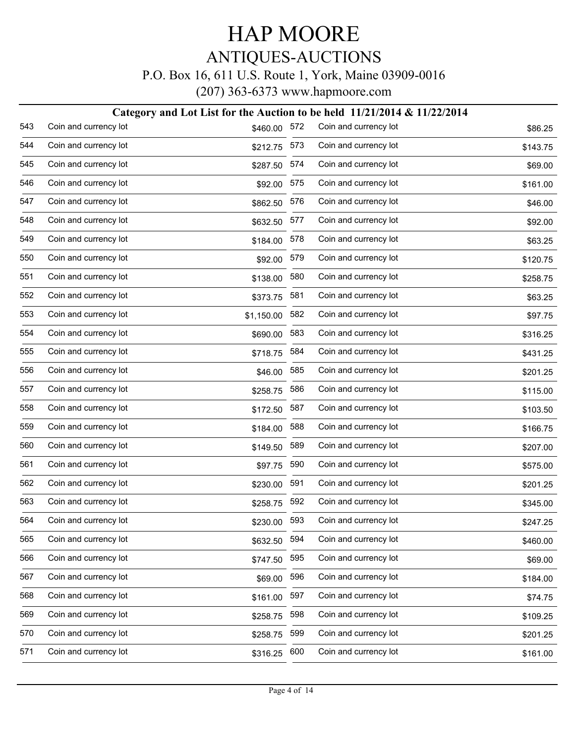#### P.O. Box 16, 611 U.S. Route 1, York, Maine 03909-0016

|     |                       |              |     | Category and Lot List for the Auction to be held 11/21/2014 & 11/22/2014 |          |
|-----|-----------------------|--------------|-----|--------------------------------------------------------------------------|----------|
| 543 | Coin and currency lot | \$460.00     | 572 | Coin and currency lot                                                    | \$86.25  |
| 544 | Coin and currency lot | \$212.75 573 |     | Coin and currency lot                                                    | \$143.75 |
| 545 | Coin and currency lot | \$287.50     | 574 | Coin and currency lot                                                    | \$69.00  |
| 546 | Coin and currency lot | \$92.00 575  |     | Coin and currency lot                                                    | \$161.00 |
| 547 | Coin and currency lot | \$862.50     | 576 | Coin and currency lot                                                    | \$46.00  |
| 548 | Coin and currency lot | \$632.50     | 577 | Coin and currency lot                                                    | \$92.00  |
| 549 | Coin and currency lot | \$184.00     | 578 | Coin and currency lot                                                    | \$63.25  |
| 550 | Coin and currency lot | \$92.00      | 579 | Coin and currency lot                                                    | \$120.75 |
| 551 | Coin and currency lot | \$138.00     | 580 | Coin and currency lot                                                    | \$258.75 |
| 552 | Coin and currency lot | \$373.75     | 581 | Coin and currency lot                                                    | \$63.25  |
| 553 | Coin and currency lot | \$1,150.00   | 582 | Coin and currency lot                                                    | \$97.75  |
| 554 | Coin and currency lot | \$690.00     | 583 | Coin and currency lot                                                    | \$316.25 |
| 555 | Coin and currency lot | \$718.75     | 584 | Coin and currency lot                                                    | \$431.25 |
| 556 | Coin and currency lot | \$46.00      | 585 | Coin and currency lot                                                    | \$201.25 |
| 557 | Coin and currency lot | \$258.75     | 586 | Coin and currency lot                                                    | \$115.00 |
| 558 | Coin and currency lot | \$172.50     | 587 | Coin and currency lot                                                    | \$103.50 |
| 559 | Coin and currency lot | \$184.00     | 588 | Coin and currency lot                                                    | \$166.75 |
| 560 | Coin and currency lot | \$149.50     | 589 | Coin and currency lot                                                    | \$207.00 |
| 561 | Coin and currency lot | \$97.75      | 590 | Coin and currency lot                                                    | \$575.00 |
| 562 | Coin and currency lot | \$230.00     | 591 | Coin and currency lot                                                    | \$201.25 |
| 563 | Coin and currency lot | \$258.75     | 592 | Coin and currency lot                                                    | \$345.00 |
| 564 | Coin and currency lot | \$230.00     | 593 | Coin and currency lot                                                    | \$247.25 |
| 565 | Coin and currency lot | \$632.50     | 594 | Coin and currency lot                                                    | \$460.00 |
| 566 | Coin and currency lot | \$747.50     | 595 | Coin and currency lot                                                    | \$69.00  |
| 567 | Coin and currency lot | \$69.00      | 596 | Coin and currency lot                                                    | \$184.00 |
| 568 | Coin and currency lot | \$161.00     | 597 | Coin and currency lot                                                    | \$74.75  |
| 569 | Coin and currency lot | \$258.75     | 598 | Coin and currency lot                                                    | \$109.25 |
| 570 | Coin and currency lot | \$258.75     | 599 | Coin and currency lot                                                    | \$201.25 |
| 571 | Coin and currency lot | \$316.25     | 600 | Coin and currency lot                                                    | \$161.00 |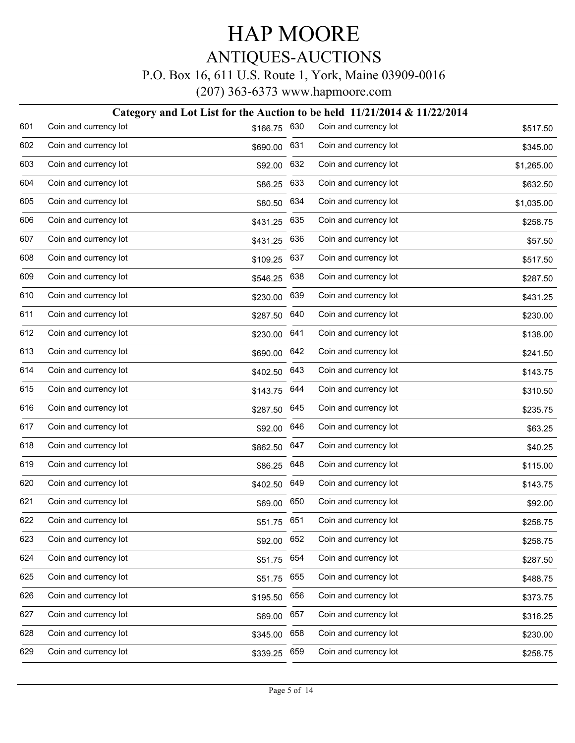#### P.O. Box 16, 611 U.S. Route 1, York, Maine 03909-0016

| Category and Lot List for the Auction to be held $11/21/2014 \& 11/22/2014$ |                       |          |     |                       |            |  |  |
|-----------------------------------------------------------------------------|-----------------------|----------|-----|-----------------------|------------|--|--|
| 601                                                                         | Coin and currency lot | \$166.75 | 630 | Coin and currency lot | \$517.50   |  |  |
| 602                                                                         | Coin and currency lot | \$690.00 | 631 | Coin and currency lot | \$345.00   |  |  |
| 603                                                                         | Coin and currency lot | \$92.00  | 632 | Coin and currency lot | \$1,265.00 |  |  |
| 604                                                                         | Coin and currency lot | \$86.25  | 633 | Coin and currency lot | \$632.50   |  |  |
| 605                                                                         | Coin and currency lot | \$80.50  | 634 | Coin and currency lot | \$1,035.00 |  |  |
| 606                                                                         | Coin and currency lot | \$431.25 | 635 | Coin and currency lot | \$258.75   |  |  |
| 607                                                                         | Coin and currency lot | \$431.25 | 636 | Coin and currency lot | \$57.50    |  |  |
| 608                                                                         | Coin and currency lot | \$109.25 | 637 | Coin and currency lot | \$517.50   |  |  |
| 609                                                                         | Coin and currency lot | \$546.25 | 638 | Coin and currency lot | \$287.50   |  |  |
| 610                                                                         | Coin and currency lot | \$230.00 | 639 | Coin and currency lot | \$431.25   |  |  |
| 611                                                                         | Coin and currency lot | \$287.50 | 640 | Coin and currency lot | \$230.00   |  |  |
| 612                                                                         | Coin and currency lot | \$230.00 | 641 | Coin and currency lot | \$138.00   |  |  |
| 613                                                                         | Coin and currency lot | \$690.00 | 642 | Coin and currency lot | \$241.50   |  |  |
| 614                                                                         | Coin and currency lot | \$402.50 | 643 | Coin and currency lot | \$143.75   |  |  |
| 615                                                                         | Coin and currency lot | \$143.75 | 644 | Coin and currency lot | \$310.50   |  |  |
| 616                                                                         | Coin and currency lot | \$287.50 | 645 | Coin and currency lot | \$235.75   |  |  |
| 617                                                                         | Coin and currency lot | \$92.00  | 646 | Coin and currency lot | \$63.25    |  |  |
| 618                                                                         | Coin and currency lot | \$862.50 | 647 | Coin and currency lot | \$40.25    |  |  |
| 619                                                                         | Coin and currency lot | \$86.25  | 648 | Coin and currency lot | \$115.00   |  |  |
| 620                                                                         | Coin and currency lot | \$402.50 | 649 | Coin and currency lot | \$143.75   |  |  |
| 621                                                                         | Coin and currency lot | \$69.00  | 650 | Coin and currency lot | \$92.00    |  |  |
| 622                                                                         | Coin and currency lot | \$51.75  | 651 | Coin and currency lot | \$258.75   |  |  |
| 623                                                                         | Coin and currency lot | \$92.00  | 652 | Coin and currency lot | \$258.75   |  |  |
| 624                                                                         | Coin and currency lot | \$51.75  | 654 | Coin and currency lot | \$287.50   |  |  |
| 625                                                                         | Coin and currency lot | \$51.75  | 655 | Coin and currency lot | \$488.75   |  |  |
| 626                                                                         | Coin and currency lot | \$195.50 | 656 | Coin and currency lot | \$373.75   |  |  |
| 627                                                                         | Coin and currency lot | \$69.00  | 657 | Coin and currency lot | \$316.25   |  |  |
| 628                                                                         | Coin and currency lot | \$345.00 | 658 | Coin and currency lot | \$230.00   |  |  |
| 629                                                                         | Coin and currency lot | \$339.25 | 659 | Coin and currency lot | \$258.75   |  |  |
|                                                                             |                       |          |     |                       |            |  |  |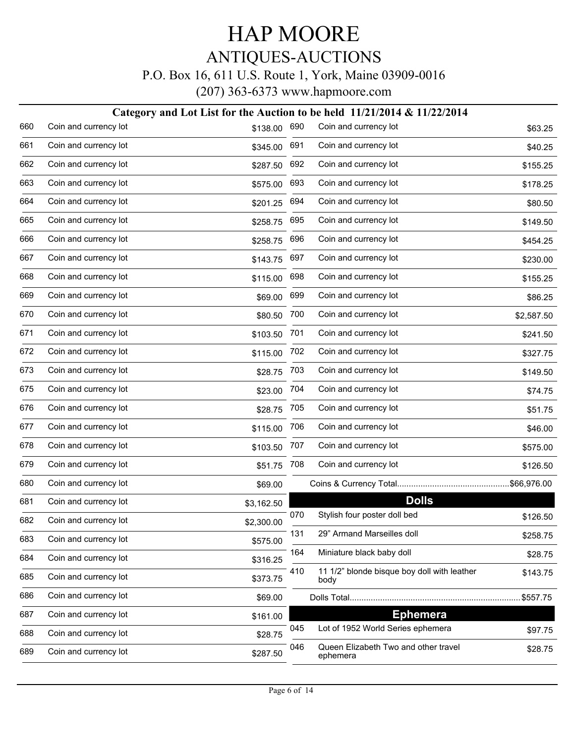#### P.O. Box 16, 611 U.S. Route 1, York, Maine 03909-0016

|     | Category and Lot List for the Auction to be held 11/21/2014 & 11/22/2014 |            |     |                                                     |            |  |  |  |
|-----|--------------------------------------------------------------------------|------------|-----|-----------------------------------------------------|------------|--|--|--|
| 660 | Coin and currency lot                                                    | \$138.00   | 690 | Coin and currency lot                               | \$63.25    |  |  |  |
| 661 | Coin and currency lot                                                    | \$345.00   | 691 | Coin and currency lot                               | \$40.25    |  |  |  |
| 662 | Coin and currency lot                                                    | \$287.50   | 692 | Coin and currency lot                               | \$155.25   |  |  |  |
| 663 | Coin and currency lot                                                    | \$575.00   | 693 | Coin and currency lot                               | \$178.25   |  |  |  |
| 664 | Coin and currency lot                                                    | \$201.25   | 694 | Coin and currency lot                               | \$80.50    |  |  |  |
| 665 | Coin and currency lot                                                    | \$258.75   | 695 | Coin and currency lot                               | \$149.50   |  |  |  |
| 666 | Coin and currency lot                                                    | \$258.75   | 696 | Coin and currency lot                               | \$454.25   |  |  |  |
| 667 | Coin and currency lot                                                    | \$143.75   | 697 | Coin and currency lot                               | \$230.00   |  |  |  |
| 668 | Coin and currency lot                                                    | \$115.00   | 698 | Coin and currency lot                               | \$155.25   |  |  |  |
| 669 | Coin and currency lot                                                    | \$69.00    | 699 | Coin and currency lot                               | \$86.25    |  |  |  |
| 670 | Coin and currency lot                                                    | \$80.50    | 700 | Coin and currency lot                               | \$2,587.50 |  |  |  |
| 671 | Coin and currency lot                                                    | \$103.50   | 701 | Coin and currency lot                               | \$241.50   |  |  |  |
| 672 | Coin and currency lot                                                    | \$115.00   | 702 | Coin and currency lot                               | \$327.75   |  |  |  |
| 673 | Coin and currency lot                                                    | \$28.75    | 703 | Coin and currency lot                               | \$149.50   |  |  |  |
| 675 | Coin and currency lot                                                    | \$23.00    | 704 | Coin and currency lot                               | \$74.75    |  |  |  |
| 676 | Coin and currency lot                                                    | \$28.75    | 705 | Coin and currency lot                               | \$51.75    |  |  |  |
| 677 | Coin and currency lot                                                    | \$115.00   | 706 | Coin and currency lot                               | \$46.00    |  |  |  |
| 678 | Coin and currency lot                                                    | \$103.50   | 707 | Coin and currency lot                               | \$575.00   |  |  |  |
| 679 | Coin and currency lot                                                    | \$51.75    | 708 | Coin and currency lot                               | \$126.50   |  |  |  |
| 680 | Coin and currency lot                                                    | \$69.00    |     |                                                     |            |  |  |  |
| 681 | Coin and currency lot                                                    | \$3,162.50 |     | <b>Dolls</b>                                        |            |  |  |  |
| 682 | Coin and currency lot                                                    | \$2,300.00 | 070 | Stylish four poster doll bed                        | \$126.50   |  |  |  |
| 683 | Coin and currency lot                                                    | \$575.00   | 131 | 29" Armand Marseilles doll                          | \$258.75   |  |  |  |
| 684 | Coin and currency lot                                                    | \$316.25   | 164 | Miniature black baby doll                           | \$28.75    |  |  |  |
| 685 | Coin and currency lot                                                    | \$373.75   | 410 | 11 1/2" blonde bisque boy doll with leather<br>body | \$143.75   |  |  |  |
| 686 | Coin and currency lot                                                    | \$69.00    |     |                                                     | \$557.75   |  |  |  |
| 687 | Coin and currency lot                                                    | \$161.00   |     | <b>Ephemera</b>                                     |            |  |  |  |
| 688 | Coin and currency lot                                                    | \$28.75    | 045 | Lot of 1952 World Series ephemera                   | \$97.75    |  |  |  |
| 689 | Coin and currency lot                                                    | \$287.50   | 046 | Queen Elizabeth Two and other travel<br>ephemera    | \$28.75    |  |  |  |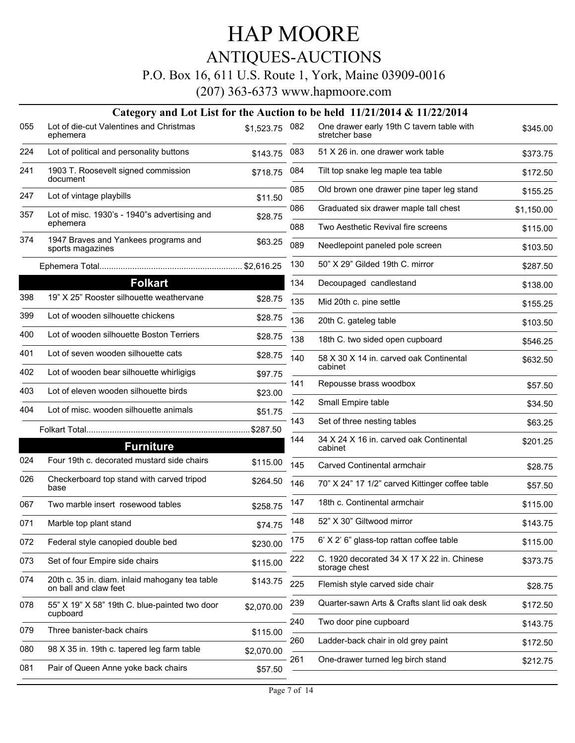ANTIQUES-AUCTIONS

P.O. Box 16, 611 U.S. Route 1, York, Maine 03909-0016

|     |                                                                         |                |     | Category and Lot List for the Auction to be held $11/21/2014 \& 11/22/2014$ |            |
|-----|-------------------------------------------------------------------------|----------------|-----|-----------------------------------------------------------------------------|------------|
| 055 | Lot of die-cut Valentines and Christmas<br>ephemera                     | \$1,523.75 082 |     | One drawer early 19th C tavern table with<br>stretcher base                 | \$345.00   |
| 224 | Lot of political and personality buttons                                | \$143.75       | 083 | 51 X 26 in. one drawer work table                                           | \$373.75   |
| 241 | 1903 T. Roosevelt signed commission<br>document                         | \$718.75       | 084 | Tilt top snake leg maple tea table                                          | \$172.50   |
| 247 | Lot of vintage playbills                                                | \$11.50        | 085 | Old brown one drawer pine taper leg stand                                   | \$155.25   |
| 357 | Lot of misc. 1930's - 1940"s advertising and                            | \$28.75        | 086 | Graduated six drawer maple tall chest                                       | \$1,150.00 |
|     | ephemera                                                                |                | 088 | Two Aesthetic Revival fire screens                                          | \$115.00   |
| 374 | 1947 Braves and Yankees programs and<br>sports magazines                | \$63.25        | 089 | Needlepoint paneled pole screen                                             | \$103.50   |
|     |                                                                         |                | 130 | 50" X 29" Gilded 19th C. mirror                                             | \$287.50   |
|     | <b>Folkart</b>                                                          |                | 134 | Decoupaged candlestand                                                      | \$138.00   |
| 398 | 19" X 25" Rooster silhouette weathervane                                | \$28.75        | 135 | Mid 20th c. pine settle                                                     | \$155.25   |
| 399 | Lot of wooden silhouette chickens                                       | \$28.75        | 136 | 20th C. gateleg table                                                       | \$103.50   |
| 400 | Lot of wooden silhouette Boston Terriers                                | \$28.75        | 138 | 18th C. two sided open cupboard                                             | \$546.25   |
| 401 | Lot of seven wooden silhouette cats                                     | \$28.75        | 140 | 58 X 30 X 14 in. carved oak Continental                                     | \$632.50   |
| 402 | Lot of wooden bear silhouette whirligigs                                | \$97.75        |     | cabinet                                                                     |            |
| 403 | Lot of eleven wooden silhouette birds                                   | \$23.00        | 141 | Repousse brass woodbox                                                      | \$57.50    |
| 404 | Lot of misc. wooden silhouette animals                                  | \$51.75        | 142 | Small Empire table                                                          | \$34.50    |
|     |                                                                         | \$287.50       | 143 | Set of three nesting tables                                                 | \$63.25    |
|     | <b>Furniture</b>                                                        |                | 144 | 34 X 24 X 16 in. carved oak Continental<br>cabinet                          | \$201.25   |
| 024 | Four 19th c. decorated mustard side chairs                              | \$115.00       | 145 | Carved Continental armchair                                                 | \$28.75    |
| 026 | Checkerboard top stand with carved tripod<br>base                       | \$264.50       | 146 | 70" X 24" 17 1/2" carved Kittinger coffee table                             | \$57.50    |
| 067 | Two marble insert rosewood tables                                       | \$258.75       | 147 | 18th c. Continental armchair                                                | \$115.00   |
| 071 | Marble top plant stand                                                  | \$74.75        | 148 | 52" X 30" Giltwood mirror                                                   | \$143.75   |
| 072 | Federal style canopied double bed                                       | \$230.00       | 175 | 6' X 2' 6" glass-top rattan coffee table                                    | \$115.00   |
| 073 | Set of four Empire side chairs                                          | \$115.00       | 222 | C. 1920 decorated 34 X 17 X 22 in. Chinese<br>storage chest                 | \$373.75   |
| 074 | 20th c. 35 in. diam. inlaid mahogany tea table<br>on ball and claw feet | \$143.75       | 225 | Flemish style carved side chair                                             | \$28.75    |
| 078 | 55" X 19" X 58" 19th C. blue-painted two door<br>cupboard               | \$2,070.00     | 239 | Quarter-sawn Arts & Crafts slant lid oak desk                               | \$172.50   |
| 079 | Three banister-back chairs                                              | \$115.00       | 240 | Two door pine cupboard                                                      | \$143.75   |
| 080 | 98 X 35 in. 19th c. tapered leg farm table                              |                | 260 | Ladder-back chair in old grey paint                                         | \$172.50   |
|     |                                                                         | \$2,070.00     | 261 | One-drawer turned leg birch stand                                           | \$212.75   |
| 081 | Pair of Queen Anne yoke back chairs                                     | \$57.50        |     |                                                                             |            |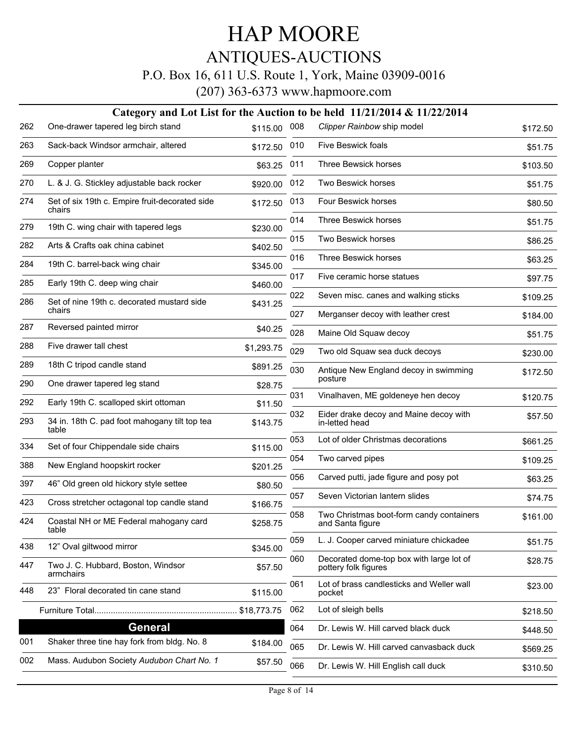### ANTIQUES-AUCTIONS

#### P.O. Box 16, 611 U.S. Route 1, York, Maine 03909-0016

|     |                                                          |             |     | Category and Lot List for the Auction to be held $11/21/2014 \& 11/22/2014$ |          |
|-----|----------------------------------------------------------|-------------|-----|-----------------------------------------------------------------------------|----------|
| 262 | One-drawer tapered leg birch stand                       | \$115.00    | 008 | Clipper Rainbow ship model                                                  | \$172.50 |
| 263 | Sack-back Windsor armchair, altered                      | \$172.50    | 010 | Five Beswick foals                                                          | \$51.75  |
| 269 | Copper planter                                           | \$63.25     | 011 | Three Bewsick horses                                                        | \$103.50 |
| 270 | L. & J. G. Stickley adjustable back rocker               | \$920.00    | 012 | Two Beswick horses                                                          | \$51.75  |
| 274 | Set of six 19th c. Empire fruit-decorated side<br>chairs | \$172.50    | 013 | Four Beswick horses                                                         | \$80.50  |
| 279 | 19th C. wing chair with tapered legs                     | \$230.00    | 014 | Three Beswick horses                                                        | \$51.75  |
| 282 | Arts & Crafts oak china cabinet                          | \$402.50    | 015 | Two Beswick horses                                                          | \$86.25  |
| 284 | 19th C. barrel-back wing chair                           | \$345.00    | 016 | Three Beswick horses                                                        | \$63.25  |
| 285 | Early 19th C. deep wing chair                            | \$460.00    | 017 | Five ceramic horse statues                                                  | \$97.75  |
| 286 | Set of nine 19th c. decorated mustard side               | \$431.25    | 022 | Seven misc. canes and walking sticks                                        | \$109.25 |
|     | chairs                                                   |             | 027 | Merganser decoy with leather crest                                          | \$184.00 |
| 287 | Reversed painted mirror                                  | \$40.25     | 028 | Maine Old Squaw decoy                                                       | \$51.75  |
| 288 | Five drawer tall chest                                   | \$1,293.75  | 029 | Two old Squaw sea duck decoys                                               | \$230.00 |
| 289 | 18th C tripod candle stand                               | \$891.25    | 030 | Antique New England decoy in swimming<br>posture                            | \$172.50 |
| 290 | One drawer tapered leg stand                             | \$28.75     | 031 | Vinalhaven, ME goldeneye hen decoy                                          |          |
| 292 | Early 19th C. scalloped skirt ottoman                    | \$11.50     |     |                                                                             | \$120.75 |
| 293 | 34 in. 18th C. pad foot mahogany tilt top tea<br>table   | \$143.75    | 032 | Eider drake decoy and Maine decoy with<br>in-letted head                    | \$57.50  |
| 334 | Set of four Chippendale side chairs                      | \$115.00    | 053 | Lot of older Christmas decorations                                          | \$661.25 |
| 388 | New England hoopskirt rocker                             | \$201.25    | 054 | Two carved pipes                                                            | \$109.25 |
| 397 | 46" Old green old hickory style settee                   | \$80.50     | 056 | Carved putti, jade figure and posy pot                                      | \$63.25  |
| 423 | Cross stretcher octagonal top candle stand               | \$166.75    | 057 | Seven Victorian lantern slides                                              | \$74.75  |
| 424 | Coastal NH or ME Federal mahogany card<br>table          | \$258.75    | 058 | Two Christmas boot-form candy containers<br>and Santa figure                | \$161.00 |
| 438 | 12" Oval giltwood mirror                                 | \$345.00    | 059 | L. J. Cooper carved miniature chickadee                                     | \$51.75  |
| 447 | Two J. C. Hubbard, Boston, Windsor<br>armchairs          | \$57.50     | 060 | Decorated dome-top box with large lot of<br>pottery folk figures            | \$28.75  |
| 448 | 23" Floral decorated tin cane stand                      | \$115.00    | 061 | Lot of brass candlesticks and Weller wall<br>pocket                         | \$23.00  |
|     |                                                          | \$18,773.75 | 062 | Lot of sleigh bells                                                         | \$218.50 |
|     | <b>General</b>                                           |             | 064 | Dr. Lewis W. Hill carved black duck                                         | \$448.50 |
| 001 | Shaker three tine hay fork from bldg. No. 8              | \$184.00    | 065 | Dr. Lewis W. Hill carved canvasback duck                                    | \$569.25 |
| 002 | Mass. Audubon Society Audubon Chart No. 1                | \$57.50     | 066 | Dr. Lewis W. Hill English call duck                                         | \$310.50 |
|     |                                                          |             |     |                                                                             |          |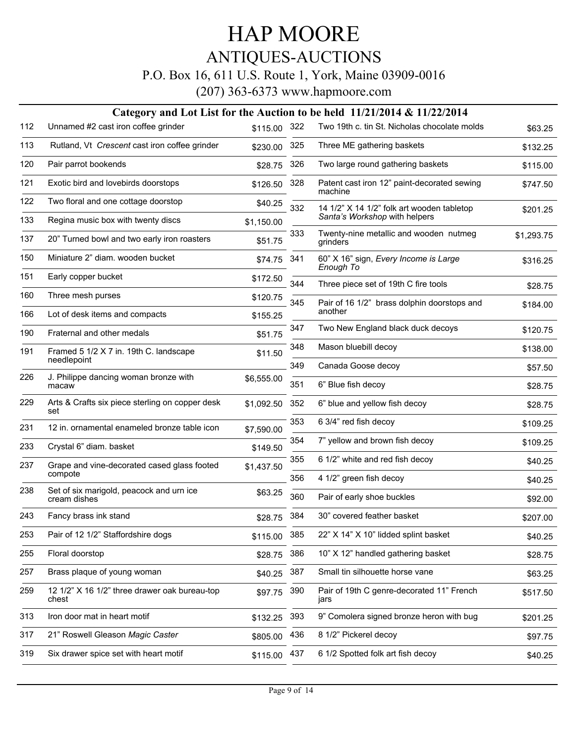### ANTIQUES-AUCTIONS

#### P.O. Box 16, 611 U.S. Route 1, York, Maine 03909-0016

|     |                                                          |             |     | Category and Lot List for the Auction to be held $11/21/2014 \& 11/22/2014$ |            |
|-----|----------------------------------------------------------|-------------|-----|-----------------------------------------------------------------------------|------------|
| 112 | Unnamed #2 cast iron coffee grinder                      | \$115.00    | 322 | Two 19th c. tin St. Nicholas chocolate molds                                | \$63.25    |
| 113 | Rutland, Vt Crescent cast iron coffee grinder            | \$230.00    | 325 | Three ME gathering baskets                                                  | \$132.25   |
| 120 | Pair parrot bookends                                     | \$28.75     | 326 | Two large round gathering baskets                                           | \$115.00   |
| 121 | Exotic bird and lovebirds doorstops                      | \$126.50    | 328 | Patent cast iron 12" paint-decorated sewing<br>machine                      | \$747.50   |
| 122 | Two floral and one cottage doorstop                      | \$40.25     | 332 | 14 1/2" X 14 1/2" folk art wooden tabletop                                  | \$201.25   |
| 133 | Regina music box with twenty discs                       | \$1.150.00  |     | Santa's Workshop with helpers                                               |            |
| 137 | 20" Turned bowl and two early iron roasters              | \$51.75     | 333 | Twenty-nine metallic and wooden nutmeg<br>grinders                          | \$1,293.75 |
| 150 | Miniature 2" diam. wooden bucket                         | \$74.75 341 |     | 60" X 16" sign, Every Income is Large<br>Enough To                          | \$316.25   |
| 151 | Early copper bucket                                      | \$172.50    | 344 | Three piece set of 19th C fire tools                                        | \$28.75    |
| 160 | Three mesh purses                                        | \$120.75    | 345 | Pair of 16 1/2" brass dolphin doorstops and                                 | \$184.00   |
| 166 | Lot of desk items and compacts                           | \$155.25    |     | another                                                                     |            |
| 190 | Fraternal and other medals                               | \$51.75     | 347 | Two New England black duck decoys                                           | \$120.75   |
| 191 | Framed 5 1/2 X 7 in. 19th C. landscape<br>needlepoint    | \$11.50     | 348 | Mason bluebill decoy                                                        | \$138.00   |
|     |                                                          |             | 349 | Canada Goose decoy                                                          | \$57.50    |
| 226 | J. Philippe dancing woman bronze with<br>macaw           | \$6,555.00  | 351 | 6" Blue fish decoy                                                          | \$28.75    |
| 229 | Arts & Crafts six piece sterling on copper desk<br>set   | \$1,092.50  | 352 | 6" blue and yellow fish decoy                                               | \$28.75    |
| 231 | 12 in. ornamental enameled bronze table icon             | \$7,590.00  | 353 | 6 3/4" red fish decoy                                                       | \$109.25   |
| 233 | Crystal 6" diam. basket                                  | \$149.50    | 354 | 7" yellow and brown fish decoy                                              | \$109.25   |
| 237 | Grape and vine-decorated cased glass footed              | \$1,437.50  | 355 | 6 1/2" white and red fish decoy                                             | \$40.25    |
|     | compote                                                  |             | 356 | 4 1/2" green fish decoy                                                     | \$40.25    |
| 238 | Set of six marigold, peacock and urn ice<br>cream dishes | \$63.25     | 360 | Pair of early shoe buckles                                                  | \$92.00    |
| 243 | Fancy brass ink stand                                    | \$28.75     | 384 | 30" covered feather basket                                                  | \$207.00   |
| 253 | Pair of 12 1/2" Staffordshire dogs                       | \$115.00    | 385 | 22" X 14" X 10" lidded splint basket                                        | \$40.25    |
| 255 | Floral doorstop                                          | \$28.75     | 386 | 10" X 12" handled gathering basket                                          | \$28.75    |
| 257 | Brass plaque of young woman                              | \$40.25     | 387 | Small tin silhouette horse vane                                             | \$63.25    |
| 259 | 12 1/2" X 16 1/2" three drawer oak bureau-top<br>chest   | \$97.75     | 390 | Pair of 19th C genre-decorated 11" French<br>jars                           | \$517.50   |
| 313 | Iron door mat in heart motif                             | \$132.25    | 393 | 9" Comolera signed bronze heron with bug                                    | \$201.25   |
| 317 | 21" Roswell Gleason Magic Caster                         | \$805.00    | 436 | 8 1/2" Pickerel decoy                                                       | \$97.75    |
| 319 | Six drawer spice set with heart motif                    | \$115.00    | 437 | 6 1/2 Spotted folk art fish decoy                                           | \$40.25    |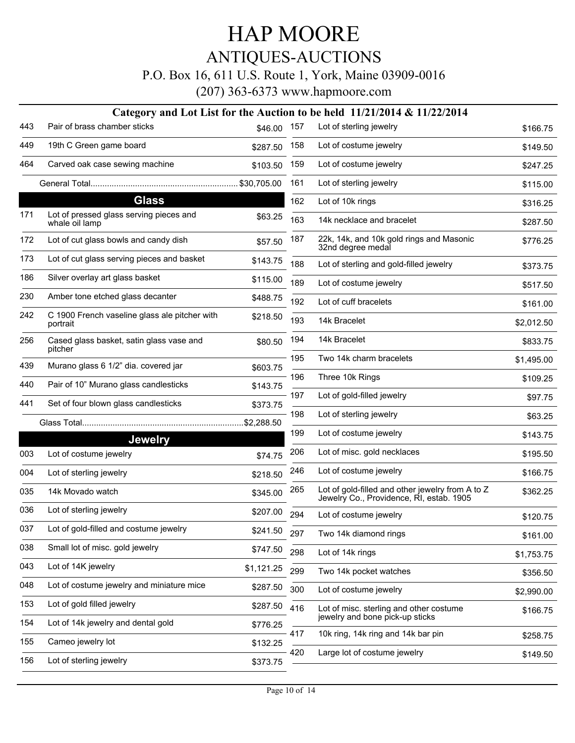### ANTIQUES-AUCTIONS

P.O. Box 16, 611 U.S. Route 1, York, Maine 03909-0016

|     |                                                           |            |     | Category and Lot List for the Auction to be held $11/21/2014 \& 11/22/2014$                  |            |
|-----|-----------------------------------------------------------|------------|-----|----------------------------------------------------------------------------------------------|------------|
| 443 | Pair of brass chamber sticks                              | \$46.00    | 157 | Lot of sterling jewelry                                                                      | \$166.75   |
| 449 | 19th C Green game board                                   | \$287.50   | 158 | Lot of costume jewelry                                                                       | \$149.50   |
| 464 | Carved oak case sewing machine                            | \$103.50   | 159 | Lot of costume jewelry                                                                       | \$247.25   |
|     |                                                           |            | 161 | Lot of sterling jewelry                                                                      | \$115.00   |
|     | <b>Glass</b>                                              |            | 162 | Lot of 10k rings                                                                             | \$316.25   |
| 171 | Lot of pressed glass serving pieces and<br>whale oil lamp | \$63.25    | 163 | 14k necklace and bracelet                                                                    | \$287.50   |
| 172 | Lot of cut glass bowls and candy dish                     | \$57.50    | 187 | 22k, 14k, and 10k gold rings and Masonic<br>32nd degree medal                                | \$776.25   |
| 173 | Lot of cut glass serving pieces and basket                | \$143.75   | 188 | Lot of sterling and gold-filled jewelry                                                      | \$373.75   |
| 186 | Silver overlay art glass basket                           | \$115.00   | 189 | Lot of costume jewelry                                                                       | \$517.50   |
| 230 | Amber tone etched glass decanter                          | \$488.75   | 192 | Lot of cuff bracelets                                                                        | \$161.00   |
| 242 | C 1900 French vaseline glass ale pitcher with<br>portrait | \$218.50   | 193 | 14k Bracelet                                                                                 | \$2,012.50 |
| 256 | Cased glass basket, satin glass vase and                  | \$80.50    | 194 | 14k Bracelet                                                                                 | \$833.75   |
| 439 | pitcher<br>Murano glass 6 1/2" dia. covered jar           |            | 195 | Two 14k charm bracelets                                                                      | \$1,495.00 |
|     |                                                           | \$603.75   | 196 | Three 10k Rings                                                                              | \$109.25   |
| 440 | Pair of 10" Murano glass candlesticks                     | \$143.75   | 197 | Lot of gold-filled jewelry                                                                   | \$97.75    |
| 441 | Set of four blown glass candlesticks                      | \$373.75   | 198 | Lot of sterling jewelry                                                                      | \$63.25    |
|     |                                                           |            | 199 | Lot of costume jewelry                                                                       |            |
|     | <b>Jewelry</b>                                            |            |     |                                                                                              | \$143.75   |
| 003 | Lot of costume jewelry                                    | \$74.75    | 206 | Lot of misc. gold necklaces                                                                  | \$195.50   |
| 004 | Lot of sterling jewelry                                   | \$218.50   | 246 | Lot of costume jewelry                                                                       | \$166.75   |
| 035 | 14k Movado watch                                          | \$345.00   | 265 | Lot of gold-filled and other jewelry from A to Z<br>Jewelry Co., Providence, RI, estab. 1905 | \$362.25   |
| 036 | Lot of sterling jewelry                                   | \$207.00   | 294 | Lot of costume jewelry                                                                       | \$120.75   |
| 037 | Lot of gold-filled and costume jewelry                    | \$241.50   | 297 | Two 14k diamond rings                                                                        | \$161.00   |
| 038 | Small lot of misc. gold jewelry                           | \$747.50   | 298 | Lot of 14k rings                                                                             | \$1,753.75 |
| 043 | Lot of 14K jewelry                                        | \$1,121.25 | 299 | Two 14k pocket watches                                                                       | \$356.50   |
| 048 | Lot of costume jewelry and miniature mice                 | \$287.50   | 300 | Lot of costume jewelry                                                                       | \$2,990.00 |
| 153 | Lot of gold filled jewelry                                | \$287.50   | 416 | Lot of misc. sterling and other costume                                                      | \$166.75   |
| 154 | Lot of 14k jewelry and dental gold                        | \$776.25   |     | jewelry and bone pick-up sticks                                                              |            |
| 155 | Cameo jewelry lot                                         | \$132.25   | 417 | 10k ring, 14k ring and 14k bar pin                                                           | \$258.75   |
| 156 | Lot of sterling jewelry                                   | \$373.75   | 420 | Large lot of costume jewelry                                                                 | \$149.50   |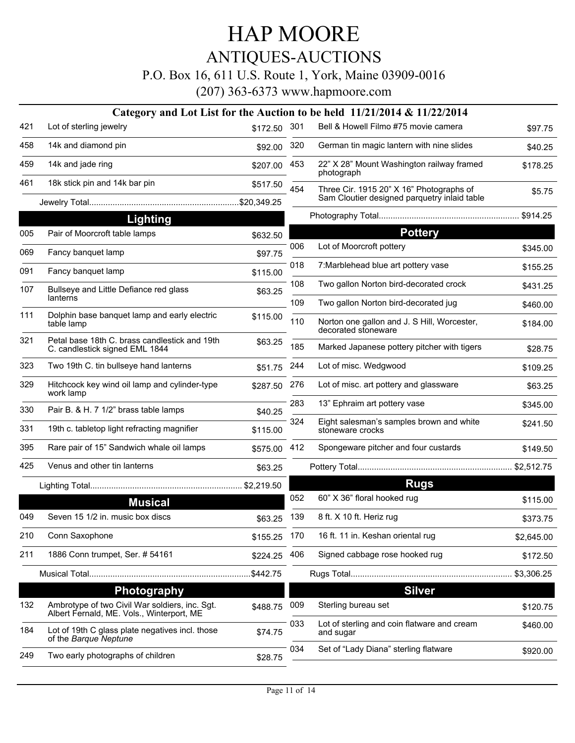ANTIQUES-AUCTIONS

P.O. Box 16, 611 U.S. Route 1, York, Maine 03909-0016

|                                                                                             |                                                                                |         | Category and Lot List for the Auction to be held $11/21/2014 \& 11/22/2014$ |                                                                          |
|---------------------------------------------------------------------------------------------|--------------------------------------------------------------------------------|---------|-----------------------------------------------------------------------------|--------------------------------------------------------------------------|
| Lot of sterling jewelry                                                                     | \$172.50                                                                       | 301     | Bell & Howell Filmo #75 movie camera                                        | \$97.75                                                                  |
| 14k and diamond pin                                                                         | \$92.00                                                                        | 320     | German tin magic lantern with nine slides                                   | \$40.25                                                                  |
| 14k and jade ring                                                                           | \$207.00                                                                       | 453     | 22" X 28" Mount Washington railway framed<br>photograph                     | \$178.25                                                                 |
| 18k stick pin and 14k bar pin                                                               | \$517.50                                                                       | 454     | Three Cir. 1915 20" X 16" Photographs of                                    | \$5.75                                                                   |
|                                                                                             |                                                                                |         |                                                                             |                                                                          |
| <b>Lighting</b>                                                                             |                                                                                |         |                                                                             |                                                                          |
| Pair of Moorcroft table lamps                                                               | \$632.50                                                                       |         | <b>Pottery</b>                                                              |                                                                          |
| Fancy banquet lamp                                                                          | \$97.75                                                                        |         |                                                                             | \$345.00                                                                 |
| Fancy banquet lamp                                                                          | \$115.00                                                                       | 018     | 7: Marblehead blue art pottery vase                                         | \$155.25                                                                 |
| Bullseye and Little Defiance red glass                                                      |                                                                                | 108     | Two gallon Norton bird-decorated crock                                      | \$431.25                                                                 |
|                                                                                             |                                                                                | 109     | Two gallon Norton bird-decorated jug                                        | \$460.00                                                                 |
| table lamp                                                                                  | \$115.00                                                                       | 110     | Norton one gallon and J. S Hill, Worcester,<br>decorated stoneware          | \$184.00                                                                 |
| Petal base 18th C. brass candlestick and 19th<br>C. candlestick signed EML 1844             | \$63.25                                                                        | 185     | Marked Japanese pottery pitcher with tigers                                 | \$28.75                                                                  |
| Two 19th C. tin bullseye hand lanterns                                                      | \$51.75                                                                        | 244     | Lot of misc. Wedgwood                                                       | \$109.25                                                                 |
| Hitchcock key wind oil lamp and cylinder-type<br>work lamp                                  | \$287.50                                                                       | 276     | Lot of misc. art pottery and glassware                                      | \$63.25                                                                  |
| Pair B. & H. 7 1/2" brass table lamps                                                       | \$40.25                                                                        | 283     | 13" Ephraim art pottery vase                                                | \$345.00                                                                 |
| 19th c. tabletop light refracting magnifier                                                 | \$115.00                                                                       | 324     | Eight salesman's samples brown and white<br>stoneware crocks                | \$241.50                                                                 |
| Rare pair of 15" Sandwich whale oil lamps                                                   |                                                                                | 412     | Spongeware pitcher and four custards                                        | \$149.50                                                                 |
| Venus and other tin lanterns                                                                | \$63.25                                                                        |         |                                                                             |                                                                          |
|                                                                                             |                                                                                |         | <b>Rugs</b>                                                                 |                                                                          |
| <b>Musical</b>                                                                              |                                                                                | 052     | 60" X 36" floral hooked rug                                                 | \$115.00                                                                 |
| Seven 15 1/2 in. music box discs                                                            | \$63.25                                                                        | 139     | 8 ft. X 10 ft. Heriz rug                                                    | \$373.75                                                                 |
| Conn Saxophone                                                                              | \$155.25                                                                       | 170     | 16 ft. 11 in. Keshan oriental rug                                           | \$2,645.00                                                               |
| 1886 Conn trumpet, Ser. # 54161                                                             | \$224.25                                                                       | 406     | Signed cabbage rose hooked rug                                              | \$172.50                                                                 |
|                                                                                             | \$442.75                                                                       |         |                                                                             | \$3,306.25                                                               |
|                                                                                             |                                                                                |         | <b>Silver</b>                                                               |                                                                          |
| Ambrotype of two Civil War soldiers, inc. Sgt.<br>Albert Fernald, ME. Vols., Winterport, ME | \$488.75                                                                       | 009     | Sterling bureau set                                                         | \$120.75                                                                 |
| Lot of 19th C glass plate negatives incl. those<br>of the Barque Neptune                    | \$74.75                                                                        | 033     | Lot of sterling and coin flatware and cream<br>and sugar                    | \$460.00                                                                 |
| Two early photographs of children                                                           | \$28.75                                                                        | 034     | Set of "Lady Diana" sterling flatware                                       | \$920.00                                                                 |
|                                                                                             | lanterns<br>Dolphin base banquet lamp and early electric<br><b>Photography</b> | \$63.25 | 006<br>\$575.00                                                             | Sam Cloutier designed parquetry inlaid table<br>Lot of Moorcroft pottery |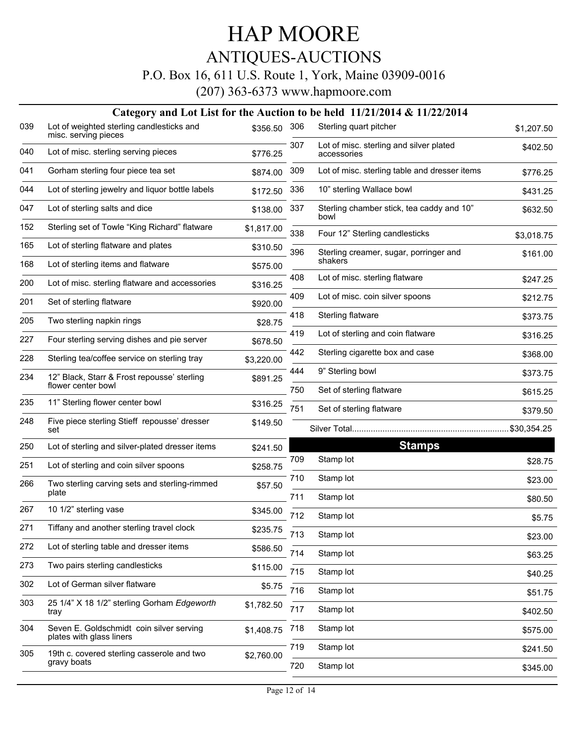### ANTIQUES-AUCTIONS

#### P.O. Box 16, 611 U.S. Route 1, York, Maine 03909-0016

|     |                                                                      |            |            | Category and Lot List for the Auction to be held $11/21/2014 \& 11/22/2014$ |                         |
|-----|----------------------------------------------------------------------|------------|------------|-----------------------------------------------------------------------------|-------------------------|
| 039 | Lot of weighted sterling candlesticks and<br>misc. serving pieces    | \$356.50   | 306        | Sterling quart pitcher                                                      | \$1,207.50              |
| 040 | Lot of misc. sterling serving pieces                                 | \$776.25   | 307        | Lot of misc. sterling and silver plated<br>accessories                      | \$402.50                |
| 041 | Gorham sterling four piece tea set                                   | \$874.00   | 309        | Lot of misc. sterling table and dresser items                               | \$776.25                |
| 044 | Lot of sterling jewelry and liquor bottle labels                     | \$172.50   | 336        | 10" sterling Wallace bowl                                                   | \$431.25                |
| 047 | Lot of sterling salts and dice                                       | \$138.00   | 337        | Sterling chamber stick, tea caddy and 10"<br>bowl                           | \$632.50                |
| 152 | Sterling set of Towle "King Richard" flatware                        | \$1,817.00 | 338        | Four 12" Sterling candlesticks                                              | \$3,018.75              |
| 165 | Lot of sterling flatware and plates                                  | \$310.50   | 396        | Sterling creamer, sugar, porringer and                                      | \$161.00                |
| 168 | Lot of sterling items and flatware                                   | \$575.00   |            | shakers                                                                     |                         |
| 200 | Lot of misc. sterling flatware and accessories                       | \$316.25   | 408        | Lot of misc. sterling flatware                                              | \$247.25                |
| 201 | Set of sterling flatware                                             | \$920.00   | 409        | Lot of misc. coin silver spoons                                             | \$212.75                |
| 205 | Two sterling napkin rings                                            | \$28.75    | 418        | Sterling flatware                                                           | \$373.75                |
| 227 | Four sterling serving dishes and pie server                          | \$678.50   | 419        | Lot of sterling and coin flatware                                           | \$316.25                |
| 228 | Sterling tea/coffee service on sterling tray                         | \$3,220.00 | 442        | Sterling cigarette box and case                                             | \$368.00                |
| 234 | 12" Black, Starr & Frost repousse' sterling<br>flower center bowl    | \$891.25   | 444<br>750 | 9" Sterling bowl<br>Set of sterling flatware                                | \$373.75                |
| 235 | 11" Sterling flower center bowl                                      | \$316.25   | 751        | Set of sterling flatware                                                    | \$615.25                |
| 248 | Five piece sterling Stieff repousse' dresser<br>set                  | \$149.50   |            |                                                                             | \$379.50<br>\$30,354.25 |
| 250 | Lot of sterling and silver-plated dresser items                      | \$241.50   |            | <b>Stamps</b>                                                               |                         |
| 251 | Lot of sterling and coin silver spoons                               | \$258.75   | 709        | Stamp lot                                                                   | \$28.75                 |
| 266 | Two sterling carving sets and sterling-rimmed                        | \$57.50    | 710        | Stamp lot                                                                   | \$23.00                 |
| 267 | plate<br>10 1/2" sterling vase                                       |            | 711        | Stamp lot                                                                   | \$80.50                 |
|     |                                                                      | \$345.00   | 712        | Stamp lot                                                                   | \$5.75                  |
| 271 | Tiffany and another sterling travel clock                            | \$235.75   | 713        | Stamp lot                                                                   | \$23.00                 |
| 272 | Lot of sterling table and dresser items                              | \$586.50   | 714        | Stamp lot                                                                   | \$63.25                 |
| 273 | Two pairs sterling candlesticks                                      | \$115.00   | 715        | Stamp lot                                                                   | \$40.25                 |
| 302 | Lot of German silver flatware                                        | \$5.75     | 716        | Stamp lot                                                                   | \$51.75                 |
| 303 | 25 1/4" X 18 1/2" sterling Gorham Edgeworth<br>tray                  | \$1,782.50 | 717        | Stamp lot                                                                   | \$402.50                |
| 304 | Seven E. Goldschmidt coin silver serving<br>plates with glass liners | \$1,408.75 | 718        | Stamp lot                                                                   | \$575.00                |
| 305 | 19th c. covered sterling casserole and two                           | \$2,760.00 | 719        | Stamp lot                                                                   | \$241.50                |
|     | gravy boats                                                          |            | 720        | Stamp lot                                                                   | \$345.00                |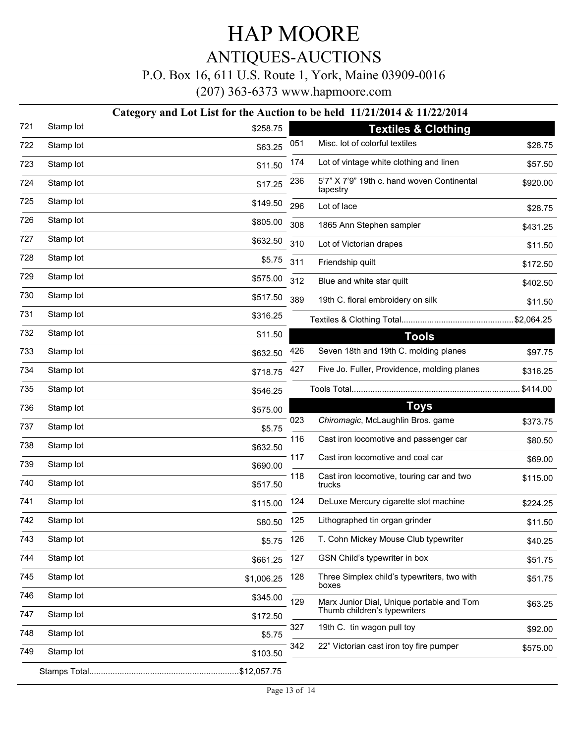#### P.O. Box 16, 611 U.S. Route 1, York, Maine 03909-0016

(207) 363-6373 www.hapmoore.com

#### **Category and Lot List for the Auction to be held 11/21/2014 & 11/22/2014**

| 721 | Stamp lot | \$258.75   |     | <b>Textiles &amp; Clothing</b>                         |          |
|-----|-----------|------------|-----|--------------------------------------------------------|----------|
| 722 | Stamp lot | \$63.25    | 051 | Misc. lot of colorful textiles                         | \$28.75  |
| 723 | Stamp lot | \$11.50    | 174 | Lot of vintage white clothing and linen                | \$57.50  |
| 724 | Stamp lot | \$17.25    | 236 | 5'7" X 7'9" 19th c. hand woven Continental<br>tapestry | \$920.00 |
| 725 | Stamp lot | \$149.50   | 296 | Lot of lace                                            | \$28.75  |
| 726 | Stamp lot | \$805.00   | 308 | 1865 Ann Stephen sampler                               | \$431.25 |
| 727 | Stamp lot | \$632.50   | 310 | Lot of Victorian drapes                                | \$11.50  |
| 728 | Stamp lot | \$5.75     | 311 | Friendship quilt                                       | \$172.50 |
| 729 | Stamp lot | \$575.00   | 312 | Blue and white star quilt                              | \$402.50 |
| 730 | Stamp lot | \$517.50   | 389 | 19th C. floral embroidery on silk                      | \$11.50  |
| 731 | Stamp lot | \$316.25   |     |                                                        |          |
| 732 | Stamp lot | \$11.50    |     | <b>Tools</b>                                           |          |
| 733 | Stamp lot | \$632.50   | 426 | Seven 18th and 19th C. molding planes                  | \$97.75  |
| 734 | Stamp lot | \$718.75   | 427 | Five Jo. Fuller, Providence, molding planes            | \$316.25 |
| 735 | Stamp lot | \$546.25   |     |                                                        | \$414.00 |
| 736 | Stamp lot | \$575.00   |     | <b>Toys</b>                                            |          |
| 737 | Stamp lot | \$5.75     | 023 | Chiromagic, McLaughlin Bros. game                      | \$373.75 |
| 738 | Stamp lot | \$632.50   | 116 | Cast iron locomotive and passenger car                 | \$80.50  |
| 739 | Stamp lot | \$690.00   | 117 | Cast iron locomotive and coal car                      | \$69.00  |
| 740 | Stamp lot | \$517.50   | 118 | Cast iron locomotive, touring car and two<br>trucks    | \$115.00 |
| 741 | Stamp lot | \$115.00   | 124 | DeLuxe Mercury cigarette slot machine                  | \$224.25 |
| 742 | Stamp lot | \$80.50    | 125 | Lithographed tin organ grinder                         | \$11.50  |
| 743 | Stamp lot | \$5.75     | 126 | T. Cohn Mickey Mouse Club typewriter                   | \$40.25  |
| 744 | Stamp lot | \$661.25   | 127 | GSN Child's typewriter in box                          | \$51.75  |
| 745 | Stamp lot | \$1,006.25 | 128 | Three Simplex child's typewriters, two with<br>boxes   | \$51.75  |
| 746 | Stamp lot | \$345.00   | 129 | Marx Junior Dial, Unique portable and Tom              | \$63.25  |
| 747 | Stamp lot | \$172.50   |     | Thumb children's typewriters                           |          |
| 748 | Stamp lot | \$5.75     | 327 | 19th C. tin wagon pull toy                             | \$92.00  |
| 749 | Stamp lot | \$103.50   | 342 | 22" Victorian cast iron toy fire pumper                | \$575.00 |
|     |           |            |     |                                                        |          |